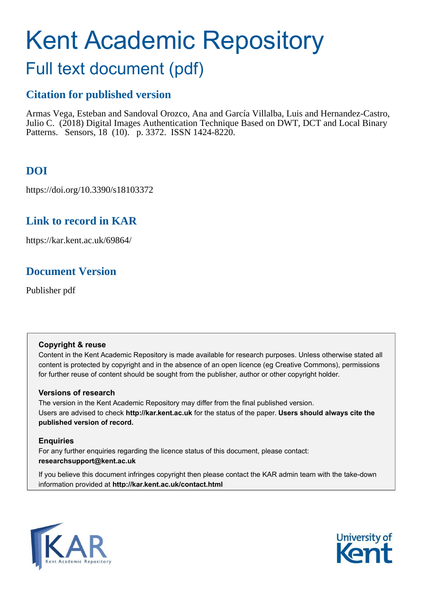# Kent Academic Repository

## Full text document (pdf)

## **Citation for published version**

Armas Vega, Esteban and Sandoval Orozco, Ana and García Villalba, Luis and Hernandez-Castro, Julio C. (2018) Digital Images Authentication Technique Based on DWT, DCT and Local Binary Patterns. Sensors, 18 (10). p. 3372. ISSN 1424-8220.

## **DOI**

https://doi.org/10.3390/s18103372

## **Link to record in KAR**

https://kar.kent.ac.uk/69864/

## **Document Version**

Publisher pdf

#### **Copyright & reuse**

Content in the Kent Academic Repository is made available for research purposes. Unless otherwise stated all content is protected by copyright and in the absence of an open licence (eg Creative Commons), permissions for further reuse of content should be sought from the publisher, author or other copyright holder.

#### **Versions of research**

The version in the Kent Academic Repository may differ from the final published version. Users are advised to check **http://kar.kent.ac.uk** for the status of the paper. **Users should always cite the published version of record.**

#### **Enquiries**

For any further enquiries regarding the licence status of this document, please contact: **researchsupport@kent.ac.uk**

If you believe this document infringes copyright then please contact the KAR admin team with the take-down information provided at **http://kar.kent.ac.uk/contact.html**



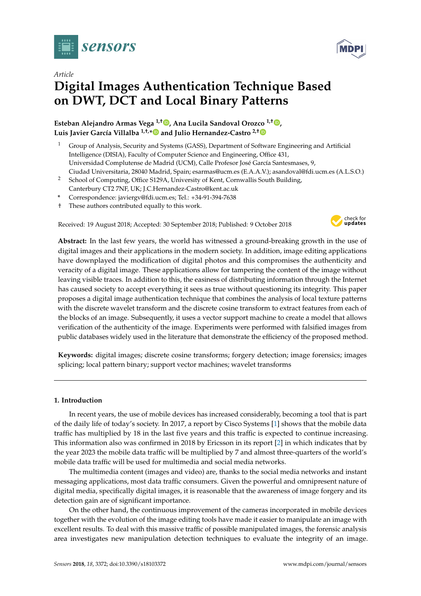



### *Article* **Digital Images Authentication Technique Based on DWT, DCT and Local Binary Patterns**

#### **Esteban Alejandro Armas Vega 1,† [,](https://orcid.org/0000-0002-9898-8912) Ana Lucila Sandoval Orozco 1,† [,](https://orcid.org/0000-0002-2846-9017) Luis Javier García Villalba 1,†,[\\*](https://orcid.org/0000-0001-7573-6272) and Julio Hernandez-Castro 2,[†](https://orcid.org/0000-0002-6432-5328)**

- <sup>1</sup> Group of Analysis, Security and Systems (GASS), Department of Software Engineering and Artificial Intelligence (DISIA), Faculty of Computer Science and Engineering, Office 431, Universidad Complutense de Madrid (UCM), Calle Profesor José García Santesmases, 9, Ciudad Universitaria, 28040 Madrid, Spain; esarmas@ucm.es (E.A.A.V.); asandoval@fdi.ucm.es (A.L.S.O.)
- <sup>2</sup> School of Computing, Office S129A, University of Kent, Cornwallis South Building, Canterbury CT2 7NF, UK; J.C.Hernandez-Castro@kent.ac.uk
- **\*** Correspondence: javiergv@fdi.ucm.es; Tel.: +34-91-394-7638
- † These authors contributed equally to this work.

Received: 19 August 2018; Accepted: 30 September 2018; Published: 9 October 2018



<span id="page-1-0"></span>**Abstract:** In the last few years, the world has witnessed a ground-breaking growth in the use of digital images and their applications in the modern society. In addition, image editing applications have downplayed the modification of digital photos and this compromises the authenticity and veracity of a digital image. These applications allow for tampering the content of the image without leaving visible traces. In addition to this, the easiness of distributing information through the Internet has caused society to accept everything it sees as true without questioning its integrity. This paper proposes a digital image authentication technique that combines the analysis of local texture patterns with the discrete wavelet transform and the discrete cosine transform to extract features from each of the blocks of an image. Subsequently, it uses a vector support machine to create a model that allows verification of the authenticity of the image. Experiments were performed with falsified images from public databases widely used in the literature that demonstrate the efficiency of the proposed method.

**Keywords:** digital images; discrete cosine transforms; forgery detection; image forensics; images splicing; local pattern binary; support vector machines; wavelet transforms

#### **1. Introduction**

In recent years, the use of mobile devices has increased considerably, becoming a tool that is part of the daily life of today's society. In 2017, a report by Cisco Systems [\[1\]](#page-15-0) shows that the mobile data traffic has multiplied by 18 in the last five years and this traffic is expected to continue increasing. This information also was confirmed in 2018 by Ericsson in its report [\[2\]](#page-15-1) in which indicates that by the year 2023 the mobile data traffic will be multiplied by 7 and almost three-quarters of the world's mobile data traffic will be used for multimedia and social media networks.

The multimedia content (images and video) are, thanks to the social media networks and instant messaging applications, most data traffic consumers. Given the powerful and omnipresent nature of digital media, specifically digital images, it is reasonable that the awareness of image forgery and its detection gain are of significant importance.

On the other hand, the continuous improvement of the cameras incorporated in mobile devices together with the evolution of the image editing tools have made it easier to manipulate an image with excellent results. To deal with this massive traffic of possible manipulated images, the forensic analysis area investigates new manipulation detection techniques to evaluate the integrity of an image.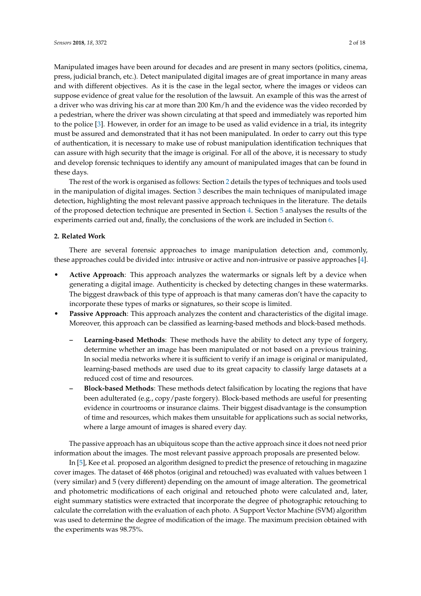Manipulated images have been around for decades and are present in many sectors (politics, cinema, press, judicial branch, etc.). Detect manipulated digital images are of great importance in many areas and with different objectives. As it is the case in the legal sector, where the images or videos can suppose evidence of great value for the resolution of the lawsuit. An example of this was the arrest of a driver who was driving his car at more than 200 Km/h and the evidence was the video recorded by a pedestrian, where the driver was shown circulating at that speed and immediately was reported him to the police [\[3\]](#page-16-0). However, in order for an image to be used as valid evidence in a trial, its integrity must be assured and demonstrated that it has not been manipulated. In order to carry out this type of authentication, it is necessary to make use of robust manipulation identification techniques that can assure with high security that the image is original. For all of the above, it is necessary to study and develop forensic techniques to identify any amount of manipulated images that can be found in these days.

The rest of the work is organised as follows: Section [2](#page-1-0) details the types of techniques and tools used in the manipulation of digital images. Section [3](#page-4-0) describes the main techniques of manipulated image detection, highlighting the most relevant passive approach techniques in the literature. The details of the proposed detection technique are presented in Section [4.](#page-7-0) Section [5](#page-11-0) analyses the results of the experiments carried out and, finally, the conclusions of the work are included in Section [6.](#page-14-0)

#### **2. Related Work**

There are several forensic approaches to image manipulation detection and, commonly, these approaches could be divided into: intrusive or active and non-intrusive or passive approaches [\[4\]](#page-16-1).

- **Active Approach**: This approach analyzes the watermarks or signals left by a device when generating a digital image. Authenticity is checked by detecting changes in these watermarks. The biggest drawback of this type of approach is that many cameras don't have the capacity to incorporate these types of marks or signatures, so their scope is limited.
- **Passive Approach**: This approach analyzes the content and characteristics of the digital image. Moreover, this approach can be classified as learning-based methods and block-based methods.
	- **Learning-based Methods**: These methods have the ability to detect any type of forgery, determine whether an image has been manipulated or not based on a previous training. In social media networks where it is sufficient to verify if an image is original or manipulated, learning-based methods are used due to its great capacity to classify large datasets at a reduced cost of time and resources.
	- **Block-based Methods**: These methods detect falsification by locating the regions that have been adulterated (e.g., copy/paste forgery). Block-based methods are useful for presenting evidence in courtrooms or insurance claims. Their biggest disadvantage is the consumption of time and resources, which makes them unsuitable for applications such as social networks, where a large amount of images is shared every day.

The passive approach has an ubiquitous scope than the active approach since it does not need prior information about the images. The most relevant passive approach proposals are presented below.

In [\[5\]](#page-16-2), Kee et al. proposed an algorithm designed to predict the presence of retouching in magazine cover images. The dataset of 468 photos (original and retouched) was evaluated with values between 1 (very similar) and 5 (very different) depending on the amount of image alteration. The geometrical and photometric modifications of each original and retouched photo were calculated and, later, eight summary statistics were extracted that incorporate the degree of photographic retouching to calculate the correlation with the evaluation of each photo. A Support Vector Machine (SVM) algorithm was used to determine the degree of modification of the image. The maximum precision obtained with the experiments was 98.75%.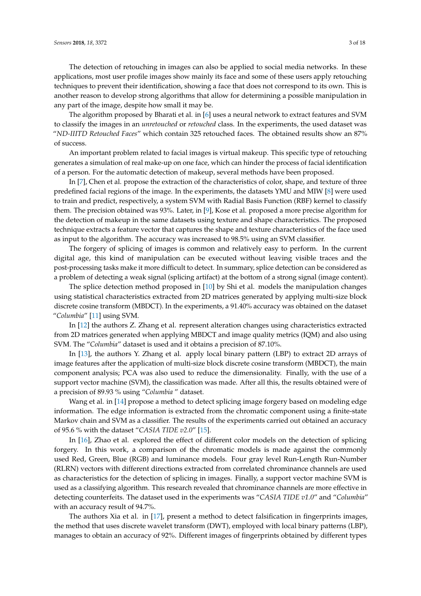The detection of retouching in images can also be applied to social media networks. In these applications, most user profile images show mainly its face and some of these users apply retouching techniques to prevent their identification, showing a face that does not correspond to its own. This is another reason to develop strong algorithms that allow for determining a possible manipulation in any part of the image, despite how small it may be.

The algorithm proposed by Bharati et al. in [\[6\]](#page-16-3) uses a neural network to extract features and SVM to classify the images in an *unretouched* or *retouched* class. In the experiments, the used dataset was "*ND-IIITD Retouched Faces*" which contain 325 retouched faces. The obtained results show an 87% of success.

An important problem related to facial images is virtual makeup. This specific type of retouching generates a simulation of real make-up on one face, which can hinder the process of facial identification of a person. For the automatic detection of makeup, several methods have been proposed.

In [\[7\]](#page-16-4), Chen et al. propose the extraction of the characteristics of color, shape, and texture of three predefined facial regions of the image. In the experiments, the datasets YMU and MIW [\[8\]](#page-16-5) were used to train and predict, respectively, a system SVM with Radial Basis Function (RBF) kernel to classify them. The precision obtained was 93%. Later, in [\[9\]](#page-16-6), Kose et al. proposed a more precise algorithm for the detection of makeup in the same datasets using texture and shape characteristics. The proposed technique extracts a feature vector that captures the shape and texture characteristics of the face used as input to the algorithm. The accuracy was increased to 98.5% using an SVM classifier.

The forgery of splicing of images is common and relatively easy to perform. In the current digital age, this kind of manipulation can be executed without leaving visible traces and the post-processing tasks make it more difficult to detect. In summary, splice detection can be considered as a problem of detecting a weak signal (splicing artifact) at the bottom of a strong signal (image content).

The splice detection method proposed in [\[10\]](#page-16-7) by Shi et al. models the manipulation changes using statistical characteristics extracted from 2D matrices generated by applying multi-size block discrete cosine transform (MBDCT). In the experiments, a 91.40% accuracy was obtained on the dataset "*Columbia*" [\[11\]](#page-16-8) using SVM.

In [\[12\]](#page-16-9) the authors Z. Zhang et al. represent alteration changes using characteristics extracted from 2D matrices generated when applying MBDCT and image quality metrics (IQM) and also using SVM. The "*Columbia*" dataset is used and it obtains a precision of 87.10%.

In [\[13\]](#page-16-10), the authors Y. Zhang et al. apply local binary pattern (LBP) to extract 2D arrays of image features after the application of multi-size block discrete cosine transform (MBDCT), the main component analysis; PCA was also used to reduce the dimensionality. Finally, with the use of a support vector machine (SVM), the classification was made. After all this, the results obtained were of a precision of 89.93 % using "*Columbia* " dataset.

Wang et al. in [\[14\]](#page-16-11) propose a method to detect splicing image forgery based on modeling edge information. The edge information is extracted from the chromatic component using a finite-state Markov chain and SVM as a classifier. The results of the experiments carried out obtained an accuracy of 95.6 % with the dataset "*CASIA TIDE v2.0*" [\[15\]](#page-16-12).

In [\[16\]](#page-16-13), Zhao et al. explored the effect of different color models on the detection of splicing forgery. In this work, a comparison of the chromatic models is made against the commonly used Red, Green, Blue (RGB) and luminance models. Four gray level Run-Length Run-Number (RLRN) vectors with different directions extracted from correlated chrominance channels are used as characteristics for the detection of splicing in images. Finally, a support vector machine SVM is used as a classifying algorithm. This research revealed that chrominance channels are more effective in detecting counterfeits. The dataset used in the experiments was "*CASIA TIDE v1.0*" and "*Columbia*" with an accuracy result of 94.7%.

The authors Xia et al. in [\[17\]](#page-16-14), present a method to detect falsification in fingerprints images, the method that uses discrete wavelet transform (DWT), employed with local binary patterns (LBP), manages to obtain an accuracy of 92%. Different images of fingerprints obtained by different types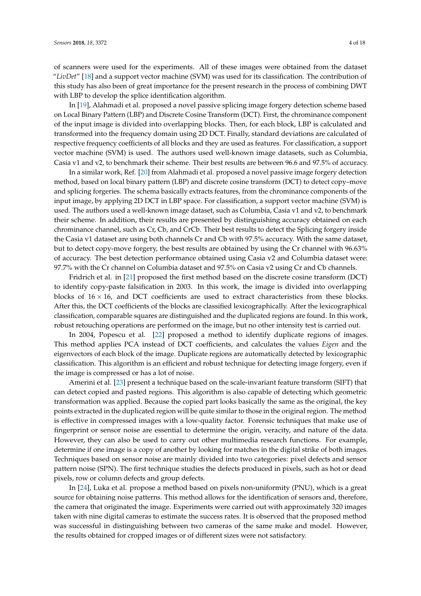of scanners were used for the experiments. All of these images were obtained from the dataset "*LivDet*" [\[18\]](#page-16-15) and a support vector machine (SVM) was used for its classification. The contribution of this study has also been of great importance for the present research in the process of combining DWT with LBP to develop the splice identification algorithm.

In [\[19\]](#page-16-16), Alahmadi et al. proposed a novel passive splicing image forgery detection scheme based on Local Binary Pattern (LBP) and Discrete Cosine Transform (DCT). First, the chrominance component of the input image is divided into overlapping blocks. Then, for each block, LBP is calculated and transformed into the frequency domain using 2D DCT. Finally, standard deviations are calculated of respective frequency coefficients of all blocks and they are used as features. For classification, a support vector machine (SVM) is used. The authors used well-known image datasets, such as Columbia, Casia v1 and v2, to benchmark their scheme. Their best results are between 96.6 and 97.5% of accuracy.

In a similar work, Ref. [\[20\]](#page-16-17) from Alahmadi et al. proposed a novel passive image forgery detection method, based on local binary pattern (LBP) and discrete cosine transform (DCT) to detect copy–move and splicing forgeries. The schema basically extracts features, from the chrominance components of the input image, by applying 2D DCT in LBP space. For classification, a support vector machine (SVM) is used. The authors used a well-known image dataset, such as Columbia, Casia v1 and v2, to benchmark their scheme. In addition, their results are presented by distinguishing accuracy obtained on each chrominance channel, such as Cr, Cb, and CrCb. Their best results to detect the Splicing forgery inside the Casia v1 dataset are using both channels Cr and Cb with 97.5% accuracy. With the same dataset, but to detect copy-move forgery, the best results are obtained by using the Cr channel with 96.63% of accuracy. The best detection performance obtained using Casia v2 and Columbia dataset were: 97.7% with the Cr channel on Columbia dataset and 97.5% on Casia v2 using Cr and Cb channels.

<span id="page-4-1"></span>Fridrich et al. in [\[21\]](#page-16-18) proposed the first method based on the discrete cosine transform (DCT) to identify copy-paste falsification in 2003. In this work, the image is divided into overlapping blocks of  $16 \times 16$ , and DCT coefficients are used to extract characteristics from these blocks. After this, the DCT coefficients of the blocks are classified lexicographically. After the lexicographical classification, comparable squares are distinguished and the duplicated regions are found. In this work, robust retouching operations are performed on the image, but no other intensity test is carried out.

In 2004, Popescu et al. [\[22\]](#page-16-19) proposed a method to identify duplicate regions of images. This method applies PCA instead of DCT coefficients, and calculates the values *Eigen* and the eigenvectors of each block of the image. Duplicate regions are automatically detected by lexicographic classification. This algorithm is an efficient and robust technique for detecting image forgery, even if the image is compressed or has a lot of noise.

Amerini et al. [\[23\]](#page-16-20) present a technique based on the scale-invariant feature transform (SIFT) that can detect copied and pasted regions. This algorithm is also capable of detecting which geometric transformation was applied. Because the copied part looks basically the same as the original, the key points extracted in the duplicated region will be quite similar to those in the original region. The method is effective in compressed images with a low-quality factor. Forensic techniques that make use of fingerprint or sensor noise are essential to determine the origin, veracity, and nature of the data. However, they can also be used to carry out other multimedia research functions. For example, determine if one image is a copy of another by looking for matches in the digital strike of both images. Techniques based on sensor noise are mainly divided into two categories: pixel defects and sensor pattern noise (SPN). The first technique studies the defects produced in pixels, such as hot or dead pixels, row or column defects and group defects.

<span id="page-4-0"></span>In [\[24\]](#page-16-21), Luka et al. propose a method based on pixels non-uniformity (PNU), which is a great source for obtaining noise patterns. This method allows for the identification of sensors and, therefore, the camera that originated the image. Experiments were carried out with approximately 320 images taken with nine digital cameras to estimate the success rates. It is observed that the proposed method was successful in distinguishing between two cameras of the same make and model. However, the results obtained for cropped images or of different sizes were not satisfactory.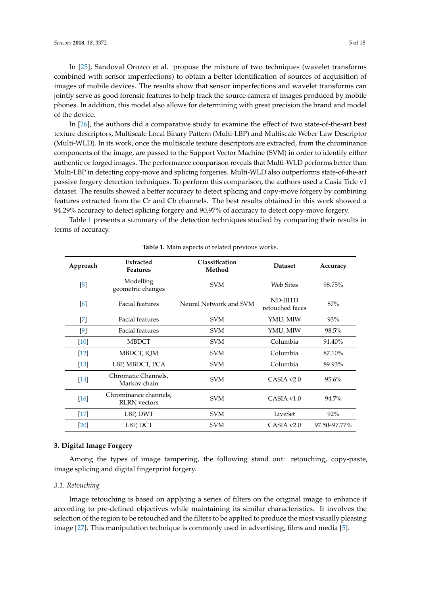In [\[25\]](#page-16-22), Sandoval Orozco et al. propose the mixture of two techniques (wavelet transforms combined with sensor imperfections) to obtain a better identification of sources of acquisition of images of mobile devices. The results show that sensor imperfections and wavelet transforms can jointly serve as good forensic features to help track the source camera of images produced by mobile phones. In addition, this model also allows for determining with great precision the brand and model of the device.

<span id="page-5-0"></span>In [\[26\]](#page-17-0), the authors did a comparative study to examine the effect of two state-of-the-art best texture descriptors, Multiscale Local Binary Pattern (Multi-LBP) and Multiscale Weber Law Descriptor (Multi-WLD). In its work, once the multiscale texture descriptors are extracted, from the chrominance components of the image, are passed to the Support Vector Machine (SVM) in order to identify either authentic or forged images. The performance comparison reveals that Multi-WLD performs better than Multi-LBP in detecting copy-move and splicing forgeries. Multi-WLD also outperforms state-of-the-art passive forgery detection techniques. To perform this comparison, the authors used a Casia Tide v1 dataset. The results showed a better accuracy to detect splicing and copy-move forgery by combining features extracted from the Cr and Cb channels. The best results obtained in this work showed a 94.29% accuracy to detect splicing forgery and 90,97% of accuracy to detect copy-move forgery.

Table [1](#page-4-1) presents a summary of the detection techniques studied by comparing their results in terms of accuracy.

| Approach                                                                                                                                                                                                                                                                                                                                                                                                                                                                                               | <b>Extracted</b><br><b>Features</b>          | Classification<br>Method | <b>Dataset</b>              | Accuracy     |
|--------------------------------------------------------------------------------------------------------------------------------------------------------------------------------------------------------------------------------------------------------------------------------------------------------------------------------------------------------------------------------------------------------------------------------------------------------------------------------------------------------|----------------------------------------------|--------------------------|-----------------------------|--------------|
| $[5]$                                                                                                                                                                                                                                                                                                                                                                                                                                                                                                  | Modelling<br>geometric changes               | <b>SVM</b>               | Web Sites                   | 98.75%       |
| [6]                                                                                                                                                                                                                                                                                                                                                                                                                                                                                                    | Facial features                              | Neural Network and SVM   | ND-IIITD<br>retouched faces | 87%          |
| $[7] \centering% \includegraphics[width=1\textwidth]{images/TransY.pdf} \caption{The first two different values of $d=3$ and $d=4$ (left) and $d=5$ (right) and $d=6$ (right) and $d=6$ (right) and $d=6$ (right) and $d=6$ (right) and $d=6$ (right) and $d=6$ (right) and $d=6$ (right) and $d=6$ (right) and $d=6$ (right) and $d=6$ (right) and $d=6$ (right) and $d=6$ (right) and $d=6$ (right) and $d=6$ (right) and $d=6$ (right) and $d=6$ (right) and $d=6$ (right) and $d=6$ (right) and $$ | Facial features                              | <b>SVM</b>               | YMU, MIW                    | 93%          |
| [9]                                                                                                                                                                                                                                                                                                                                                                                                                                                                                                    | <b>Facial features</b>                       | <b>SVM</b>               | YMU, MIW                    | 98.5%        |
| $[10]$                                                                                                                                                                                                                                                                                                                                                                                                                                                                                                 | <b>MBDCT</b>                                 | <b>SVM</b>               | Columbia                    | 91.40%       |
| $[12]$                                                                                                                                                                                                                                                                                                                                                                                                                                                                                                 | MBDCT, IQM                                   | <b>SVM</b>               | Columbia                    | 87.10%       |
| $[13]$                                                                                                                                                                                                                                                                                                                                                                                                                                                                                                 | LBP, MBDCT, PCA                              | <b>SVM</b>               | Columbia                    | 89.93%       |
| [14]                                                                                                                                                                                                                                                                                                                                                                                                                                                                                                   | Chromatic Channels,<br>Markov chain          | <b>SVM</b>               | CASIAv2.0                   | $95.6\%$     |
| $[16]$                                                                                                                                                                                                                                                                                                                                                                                                                                                                                                 | Chrominance channels,<br><b>RLRN</b> vectors | <b>SVM</b>               | CASIAv1.0                   | 94.7%        |
| $[17]$                                                                                                                                                                                                                                                                                                                                                                                                                                                                                                 | LBP, DWT                                     | <b>SVM</b>               | LiveSet                     | 92%          |
| $[20]$                                                                                                                                                                                                                                                                                                                                                                                                                                                                                                 | LBP, DCT                                     | <b>SVM</b>               | CASIAv2.0                   | 97.50-97.77% |

#### **Table 1.** Main aspects of related previous works.

#### <span id="page-5-1"></span>**3. Digital Image Forgery**

Among the types of image tampering, the following stand out: retouching, copy-paste, image splicing and digital fingerprint forgery.

#### *3.1. Retouching*

Image retouching is based on applying a series of filters on the original image to enhance it according to pre-defined objectives while maintaining its similar characteristics. It involves the selection of the region to be retouched and the filters to be applied to produce the most visually pleasing image [\[27\]](#page-17-1). This manipulation technique is commonly used in advertising, films and media [\[5\]](#page-16-2).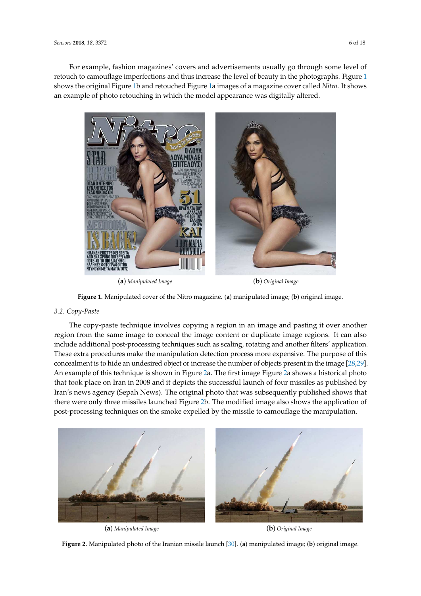For example, fashion magazines' covers and advertisements usually go through some level of retouch to camouflage imperfections and thus increase the level of beauty in the photographs. Figure [1](#page-5-0) shows the original Figure [1b](#page-5-0) and retouched Figure [1a](#page-5-0) images of a magazine cover called *Nitro*. It shows an example of photo retouching in which the model appearance was digitally altered.

<span id="page-6-0"></span>

(**a**) *Manipulated Image* (**b**) *Original Image*



#### *3.2. Copy-Paste*

The copy-paste technique involves copying a region in an image and pasting it over another region from the same image to conceal the image content or duplicate image regions. It can also include additional post-processing techniques such as scaling, rotating and another filters' application. These extra procedures make the manipulation detection process more expensive. The purpose of this concealment is to hide an undesired object or increase the number of objects present in the image [\[28](#page-17-2)[,29\]](#page-17-3). An example of this technique is shown in Figure [2a](#page-5-1). The first image Figure [2a](#page-5-1) shows a historical photo that took place on Iran in 2008 and it depicts the successful launch of four missiles as published by Iran's news agency (Sepah News). The original photo that was subsequently published shows that there were only three missiles launched Figure [2b](#page-5-1). The modified image also shows the application of post-processing techniques on the smoke expelled by the missile to camouflage the manipulation.



(**a**) *Manipulated Image* (**b**) *Original Image*

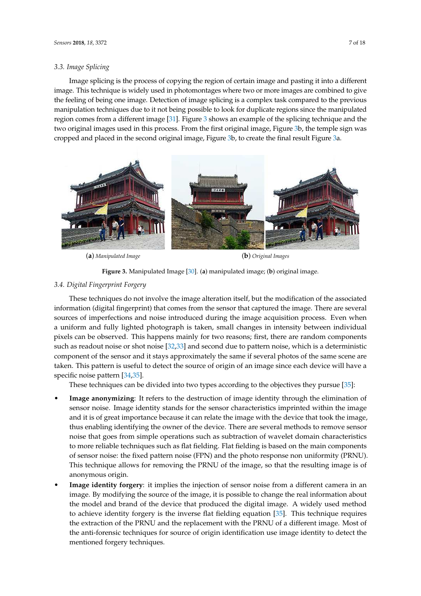#### <span id="page-7-0"></span>*3.3. Image Splicing*

Image splicing is the process of copying the region of certain image and pasting it into a different image. This technique is widely used in photomontages where two or more images are combined to give the feeling of being one image. Detection of image splicing is a complex task compared to the previous manipulation techniques due to it not being possible to look for duplicate regions since the manipulated region comes from a different image [\[31\]](#page-17-5). Figure [3](#page-6-0) shows an example of the splicing technique and the two original images used in this process. From the first original image, Figure [3b](#page-6-0), the temple sign was cropped and placed in the second original image, Figure [3b](#page-6-0), to create the final result Figure [3a](#page-6-0).



(**a**) *Manipulated Image* (**b**) *Original Images*

**Figure 3.** Manipulated Image [\[30\]](#page-17-4). (**a**) manipulated image; (**b**) original image.

#### *3.4. Digital Fingerprint Forgery*

These techniques do not involve the image alteration itself, but the modification of the associated information (digital fingerprint) that comes from the sensor that captured the image. There are several sources of imperfections and noise introduced during the image acquisition process. Even when a uniform and fully lighted photograph is taken, small changes in intensity between individual pixels can be observed. This happens mainly for two reasons; first, there are random components such as readout noise or shot noise [\[32,](#page-17-6)[33\]](#page-17-7) and second due to pattern noise, which is a deterministic component of the sensor and it stays approximately the same if several photos of the same scene are taken. This pattern is useful to detect the source of origin of an image since each device will have a specific noise pattern [\[34,](#page-17-8)[35\]](#page-17-9).

These techniques can be divided into two types according to the objectives they pursue [\[35\]](#page-17-9):

- <span id="page-7-1"></span>• **Image anonymizing**: It refers to the destruction of image identity through the elimination of sensor noise. Image identity stands for the sensor characteristics imprinted within the image and it is of great importance because it can relate the image with the device that took the image, thus enabling identifying the owner of the device. There are several methods to remove sensor noise that goes from simple operations such as subtraction of wavelet domain characteristics to more reliable techniques such as flat fielding. Flat fielding is based on the main components of sensor noise: the fixed pattern noise (FPN) and the photo response non uniformity (PRNU). This technique allows for removing the PRNU of the image, so that the resulting image is of anonymous origin.
- **Image identity forgery**: it implies the injection of sensor noise from a different camera in an image. By modifying the source of the image, it is possible to change the real information about the model and brand of the device that produced the digital image. A widely used method to achieve identity forgery is the inverse flat fielding equation [\[35\]](#page-17-9). This technique requires the extraction of the PRNU and the replacement with the PRNU of a different image. Most of the anti-forensic techniques for source of origin identification use image identity to detect the mentioned forgery techniques.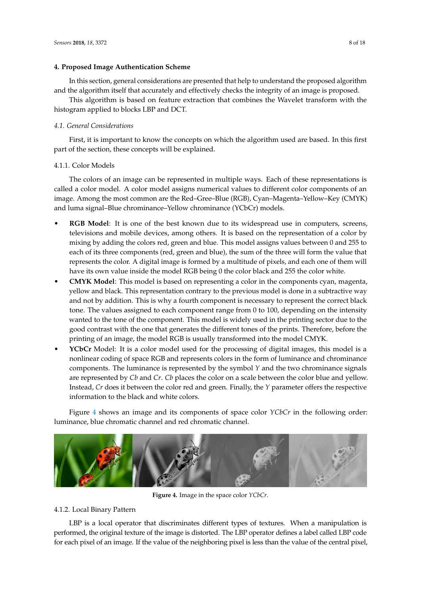#### **4. Proposed Image Authentication Scheme**

In this section, general considerations are presented that help to understand the proposed algorithm and the algorithm itself that accurately and effectively checks the integrity of an image is proposed.

This algorithm is based on feature extraction that combines the Wavelet transform with the histogram applied to blocks LBP and DCT.

#### <span id="page-8-0"></span>*4.1. General Considerations*

First, it is important to know the concepts on which the algorithm used are based. In this first part of the section, these concepts will be explained.

#### 4.1.1. Color Models

The colors of an image can be represented in multiple ways. Each of these representations is called a color model. A color model assigns numerical values to different color components of an image. Among the most common are the Red–Gree–Blue (RGB), Cyan–Magenta–Yellow–Key (CMYK) and luma signal–Blue chrominance–Yellow chrominance (YCbCr) models.

- **RGB Model**: It is one of the best known due to its widespread use in computers, screens, televisions and mobile devices, among others. It is based on the representation of a color by mixing by adding the colors red, green and blue. This model assigns values between 0 and 255 to each of its three components (red, green and blue), the sum of the three will form the value that represents the color. A digital image is formed by a multitude of pixels, and each one of them will have its own value inside the model RGB being 0 the color black and 255 the color white.
- <span id="page-8-1"></span>• **CMYK Model**: This model is based on representing a color in the components cyan, magenta, yellow and black. This representation contrary to the previous model is done in a subtractive way and not by addition. This is why a fourth component is necessary to represent the correct black tone. The values assigned to each component range from 0 to 100, depending on the intensity wanted to the tone of the component. This model is widely used in the printing sector due to the good contrast with the one that generates the different tones of the prints. Therefore, before the printing of an image, the model RGB is usually transformed into the model CMYK.
- **YCbCr** Model: It is a color model used for the processing of digital images, this model is a nonlinear coding of space RGB and represents colors in the form of luminance and chrominance components. The luminance is represented by the symbol *Y* and the two chrominance signals are represented by *Cb* and *Cr*. *Cb* places the color on a scale between the color blue and yellow. Instead, *Cr* does it between the color red and green. Finally, the *Y* parameter offers the respective information to the black and white colors.

<span id="page-8-2"></span>Figure [4](#page-7-1) shows an image and its components of space color *YCbCr* in the following order: luminance, blue chromatic channel and red chromatic channel.

<span id="page-8-3"></span>

**Figure 4.** Image in the space color *YCbCr*.

#### 4.1.2. Local Binary Pattern

LBP is a local operator that discriminates different types of textures. When a manipulation is performed, the original texture of the image is distorted. The LBP operator defines a label called LBP code for each pixel of an image. If the value of the neighboring pixel is less than the value of the central pixel,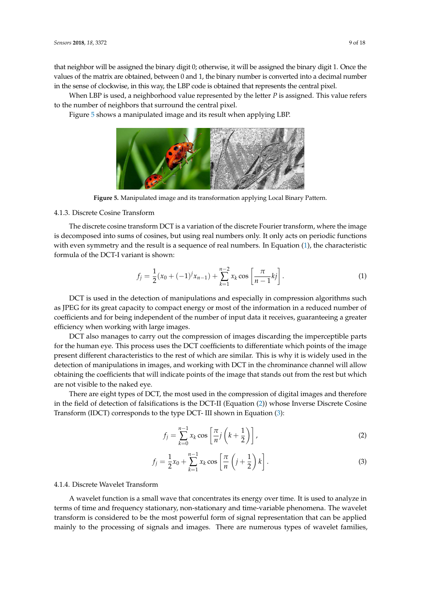that neighbor will be assigned the binary digit 0; otherwise, it will be assigned the binary digit 1. Once the values of the matrix are obtained, between 0 and 1, the binary number is converted into a decimal number in the sense of clockwise, in this way, the LBP code is obtained that represents the central pixel.

When LBP is used, a neighborhood value represented by the letter *P* is assigned. This value refers to the number of neighbors that surround the central pixel.

Figure [5](#page-8-0) shows a manipulated image and its result when applying LBP.



**Figure 5.** Manipulated image and its transformation applying Local Binary Pattern.

#### 4.1.3. Discrete Cosine Transform

The discrete cosine transform DCT is a variation of the discrete Fourier transform, where the image is decomposed into sums of cosines, but using real numbers only. It only acts on periodic functions with even symmetry and the result is a sequence of real numbers. In Equation [\(1\)](#page-8-1), the characteristic formula of the DCT-I variant is shown:

$$
f_j = \frac{1}{2}(x_0 + (-1)^j x_{n-1}) + \sum_{k=1}^{n-2} x_k \cos\left[\frac{\pi}{n-1} k j\right].
$$
 (1)

DCT is used in the detection of manipulations and especially in compression algorithms such as JPEG for its great capacity to compact energy or most of the information in a reduced number of coefficients and for being independent of the number of input data it receives, guaranteeing a greater efficiency when working with large images.

DCT also manages to carry out the compression of images discarding the imperceptible parts for the human eye. This process uses the DCT coefficients to differentiate which points of the image present different characteristics to the rest of which are similar. This is why it is widely used in the detection of manipulations in images, and working with DCT in the chrominance channel will allow obtaining the coefficients that will indicate points of the image that stands out from the rest but which are not visible to the naked eye.

There are eight types of DCT, the most used in the compression of digital images and therefore in the field of detection of falsifications is the DCT-II (Equation [\(2\)](#page-8-2)) whose Inverse Discrete Cosine Transform (IDCT) corresponds to the type DCT- III shown in Equation [\(3\)](#page-8-3):

$$
f_j = \sum_{k=0}^{n-1} x_k \cos\left[\frac{\pi}{n}j\left(k + \frac{1}{2}\right)\right],
$$
 (2)

$$
f_j = \frac{1}{2}x_0 + \sum_{k=1}^{n-1} x_k \cos\left[\frac{\pi}{n}\left(j + \frac{1}{2}\right)k\right].
$$
 (3)

#### 4.1.4. Discrete Wavelet Transform

A wavelet function is a small wave that concentrates its energy over time. It is used to analyze in terms of time and frequency stationary, non-stationary and time-variable phenomena. The wavelet transform is considered to be the most powerful form of signal representation that can be applied mainly to the processing of signals and images. There are numerous types of wavelet families,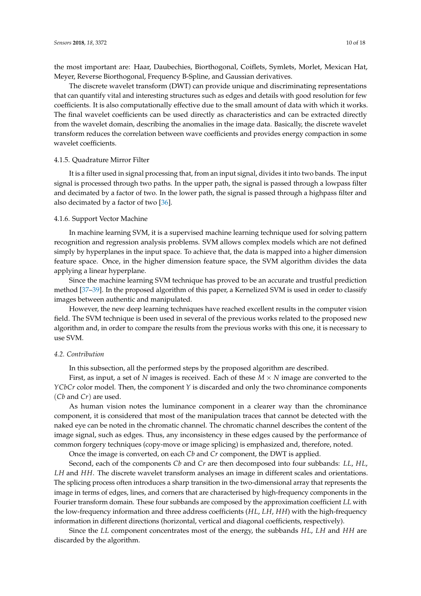the most important are: Haar, Daubechies, Biorthogonal, Coiflets, Symlets, Morlet, Mexican Hat, Meyer, Reverse Biorthogonal, Frequency B-Spline, and Gaussian derivatives.

The discrete wavelet transform (DWT) can provide unique and discriminating representations that can quantify vital and interesting structures such as edges and details with good resolution for few coefficients. It is also computationally effective due to the small amount of data with which it works. The final wavelet coefficients can be used directly as characteristics and can be extracted directly from the wavelet domain, describing the anomalies in the image data. Basically, the discrete wavelet transform reduces the correlation between wave coefficients and provides energy compaction in some wavelet coefficients.

#### <span id="page-10-0"></span>4.1.5. Quadrature Mirror Filter

It is a filter used in signal processing that, from an input signal, divides it into two bands. The input signal is processed through two paths. In the upper path, the signal is passed through a lowpass filter and decimated by a factor of two. In the lower path, the signal is passed through a highpass filter and also decimated by a factor of two [\[36\]](#page-17-10).

#### 4.1.6. Support Vector Machine

In machine learning SVM, it is a supervised machine learning technique used for solving pattern recognition and regression analysis problems. SVM allows complex models which are not defined simply by hyperplanes in the input space. To achieve that, the data is mapped into a higher dimension feature space. Once, in the higher dimension feature space, the SVM algorithm divides the data applying a linear hyperplane.

Since the machine learning SVM technique has proved to be an accurate and trustful prediction method [\[37–](#page-17-11)[39\]](#page-17-12). In the proposed algorithm of this paper, a Kernelized SVM is used in order to classify images between authentic and manipulated.

<span id="page-10-1"></span>However, the new deep learning techniques have reached excellent results in the computer vision field. The SVM technique is been used in several of the previous works related to the proposed new algorithm and, in order to compare the results from the previous works with this one, it is necessary to use SVM.

#### *4.2. Contribution*

In this subsection, all the performed steps by the proposed algorithm are described.

First, as input, a set of *N* images is received. Each of these *M* × *N* image are converted to the *YCbCr* color model. Then, the component *Y* is discarded and only the two chrominance components (*Cb* and *Cr*) are used.

As human vision notes the luminance component in a clearer way than the chrominance component, it is considered that most of the manipulation traces that cannot be detected with the naked eye can be noted in the chromatic channel. The chromatic channel describes the content of the image signal, such as edges. Thus, any inconsistency in these edges caused by the performance of common forgery techniques (copy-move or image splicing) is emphasized and, therefore, noted.

<span id="page-10-2"></span>Once the image is converted, on each *Cb* and *Cr* component, the DWT is applied.

Second, each of the components *Cb* and *Cr* are then decomposed into four subbands: *LL*, *HL*, *LH* and *HH*. The discrete wavelet transform analyses an image in different scales and orientations. The splicing process often introduces a sharp transition in the two-dimensional array that represents the image in terms of edges, lines, and corners that are characterised by high-frequency components in the Fourier transform domain. These four subbands are composed by the approximation coefficient *LL* with the low-frequency information and three address coefficients (*HL*, *LH*, *HH*) with the high-frequency information in different directions (horizontal, vertical and diagonal coefficients, respectively).

Since the *LL* component concentrates most of the energy, the subbands *HL*, *LH* and *HH* are discarded by the algorithm.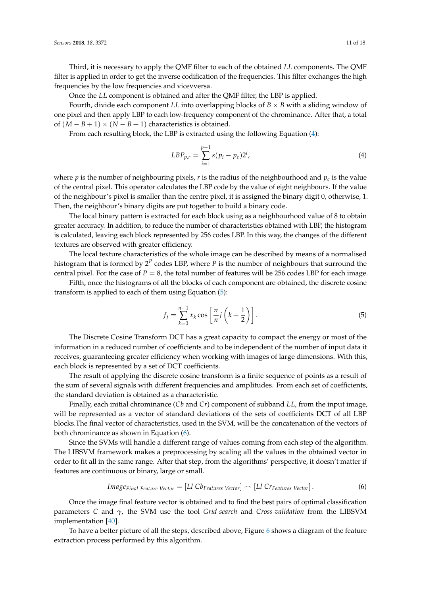<span id="page-11-1"></span>Third, it is necessary to apply the QMF filter to each of the obtained *LL* components. The QMF filter is applied in order to get the inverse codification of the frequencies. This filter exchanges the high frequencies by the low frequencies and vicevversa.

Once the *LL* component is obtained and after the QMF filter, the LBP is applied.

Fourth, divide each component *LL* into overlapping blocks of *B* × *B* with a sliding window of one pixel and then apply LBP to each low-frequency component of the chrominance. After that, a total of  $(M - B + 1) \times (N - B + 1)$  characteristics is obtained.

From each resulting block, the LBP is extracted using the following Equation [\(4\)](#page-10-0):

$$
LBP_{p,r} = \sum_{i=1}^{p-1} s(p_i - p_c) 2^i,
$$
\n(4)

where *p* is the number of neighbouring pixels, *r* is the radius of the neighbourhood and  $p_c$  is the value of the central pixel. This operator calculates the LBP code by the value of eight neighbours. If the value of the neighbour's pixel is smaller than the centre pixel, it is assigned the binary digit 0, otherwise, 1. Then, the neighbour's binary digits are put together to build a binary code.

<span id="page-11-0"></span>The local binary pattern is extracted for each block using as a neighbourhood value of 8 to obtain greater accuracy. In addition, to reduce the number of characteristics obtained with LBP, the histogram is calculated, leaving each block represented by 256 codes LBP. In this way, the changes of the different textures are observed with greater efficiency.

The local texture characteristics of the whole image can be described by means of a normalised histogram that is formed by 2 *P* codes LBP, where *P* is the number of neighbours that surround the central pixel. For the case of  $P = 8$ , the total number of features will be 256 codes LBP for each image.

Fifth, once the histograms of all the blocks of each component are obtained, the discrete cosine transform is applied to each of them using Equation [\(5\)](#page-10-1):

$$
f_j = \sum_{k=0}^{n-1} x_k \cos\left[\frac{\pi}{n}j\left(k + \frac{1}{2}\right)\right].
$$
 (5)

The Discrete Cosine Transform DCT has a great capacity to compact the energy or most of the information in a reduced number of coefficients and to be independent of the number of input data it receives, guaranteeing greater efficiency when working with images of large dimensions. With this, each block is represented by a set of DCT coefficients.

The result of applying the discrete cosine transform is a finite sequence of points as a result of the sum of several signals with different frequencies and amplitudes. From each set of coefficients, the standard deviation is obtained as a characteristic.

Finally, each initial chrominance (*Cb* and *Cr*) component of subband *LL*, from the input image, will be represented as a vector of standard deviations of the sets of coefficients DCT of all LBP blocks.The final vector of characteristics, used in the SVM, will be the concatenation of the vectors of both chrominance as shown in Equation [\(6\)](#page-10-2).

Since the SVMs will handle a different range of values coming from each step of the algorithm. The LIBSVM framework makes a preprocessing by scaling all the values in the obtained vector in order to fit all in the same range. After that step, from the algorithms' perspective, it doesn't matter if features are continuous or binary, large or small.

$$
ImageFinal Feature Vector = [LI Cb_{Features Vector}] \frown [LI Cr_{Features Vector}] \tag{6}
$$

Once the image final feature vector is obtained and to find the best pairs of optimal classification parameters *C* and *γ*, the SVM use the tool *Grid-search* and *Cross-validation* from the LIBSVM implementation [\[40\]](#page-17-13).

To have a better picture of all the steps, described above, Figure [6](#page-11-1) shows a diagram of the feature extraction process performed by this algorithm.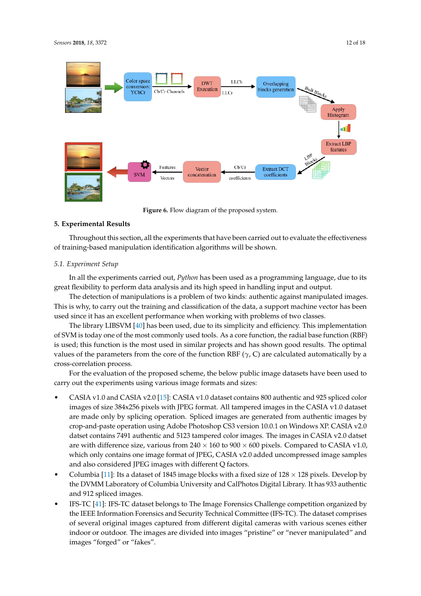<span id="page-12-0"></span>

**Figure 6.** Flow diagram of the proposed system.

#### **5. Experimental Results**

<span id="page-12-1"></span>Throughout this section, all the experiments that have been carried out to evaluate the effectiveness of training-based manipulation identification algorithms will be shown.

#### *5.1. Experiment Setup*

In all the experiments carried out, *Python* has been used as a programming language, due to its great flexibility to perform data analysis and its high speed in handling input and output.

The detection of manipulations is a problem of two kinds: authentic against manipulated images. This is why, to carry out the training and classification of the data, a support machine vector has been used since it has an excellent performance when working with problems of two classes.

The library LIBSVM [\[40\]](#page-17-13) has been used, due to its simplicity and efficiency. This implementation of SVM is today one of the most commonly used tools. As a core function, the radial base function (RBF) is used; this function is the most used in similar projects and has shown good results. The optimal values of the parameters from the core of the function RBF  $(\gamma, C)$  are calculated automatically by a cross-correlation process.

For the evaluation of the proposed scheme, the below public image datasets have been used to carry out the experiments using various image formats and sizes:

- <span id="page-12-2"></span>• CASIA v1.0 and CASIA v2.0 [\[15\]](#page-16-12): CASIA v1.0 dataset contains 800 authentic and 925 spliced color images of size 384x256 pixels with JPEG format. All tampered images in the CASIA v1.0 dataset are made only by splicing operation. Spliced images are generated from authentic images by crop-and-paste operation using Adobe Photoshop CS3 version 10.0.1 on Windows XP. CASIA v2.0 datset contains 7491 authentic and 5123 tampered color images. The images in CASIA v2.0 datset are with difference size, various from  $240 \times 160$  to  $900 \times 600$  pixels. Compared to CASIA v1.0, which only contains one image format of JPEG, CASIA v2.0 added uncompressed image samples and also considered JPEG images with different Q factors.
- Columbia [\[11\]](#page-16-8): Its a dataset of 1845 image blocks with a fixed size of  $128 \times 128$  pixels. Develop by the DVMM Laboratory of Columbia University and CalPhotos Digital Library. It has 933 authentic and 912 spliced images.
- IFS-TC [\[41\]](#page-17-14): IFS-TC dataset belongs to The Image Forensics Challenge competition organized by the IEEE Information Forensics and Security Technical Committee (IFS-TC). The dataset comprises of several original images captured from different digital cameras with various scenes either indoor or outdoor. The images are divided into images "pristine" or "never manipulated" and images "forged" or "fakes".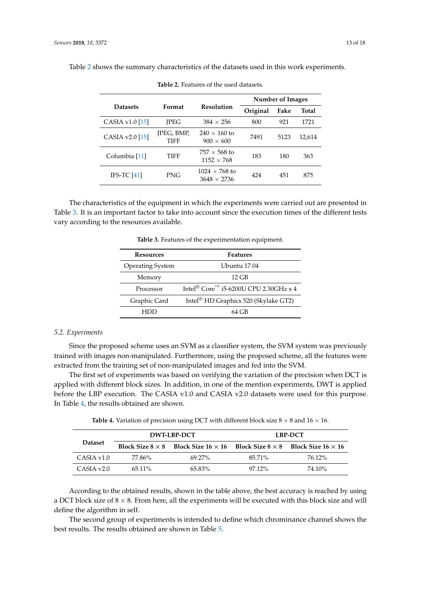|                   |                    |                                            | Number of Images |      |        |
|-------------------|--------------------|--------------------------------------------|------------------|------|--------|
| <b>Datasets</b>   | Format             | <b>Resolution</b>                          | Original         | Fake | Total  |
| $CASIA$ v1.0 [15] | <b>IPEG</b>        | $384 \times 256$                           | 800              | 921  | 1721   |
| CASIA v2.0 [15]   | IPEG, BMP,<br>TIFF | $240 \times 160$ to<br>$900 \times 600$    | 7491             | 5123 | 12.614 |
| Columbia [11]     | TIFF               | $757 \times 568$ to<br>$1152 \times 768$   | 183              | 180  | 363    |
| IFS-TC $[41]$     | <b>PNG</b>         | $1024 \times 768$ to<br>$3648 \times 2736$ | 424              | 451  | 875    |

<span id="page-13-0"></span>Table [2](#page-12-0) shows the summary characteristics of the datasets used in this work experiments.

**Table 2.** Features of the used datasets.

<span id="page-13-1"></span>The characteristics of the equipment in which the experiments were carried out are presented in Table [3.](#page-12-1) It is an important factor to take into account since the execution times of the different tests vary according to the resources available.

**Table 3.** Features of the experimentation equipment.

| <b>Resources</b>        | <b>Features</b>                                               |
|-------------------------|---------------------------------------------------------------|
| <b>Operating System</b> | Ubuntu 17.04                                                  |
| Memory                  | 12 GB                                                         |
| Processor               | Intel <sup>®</sup> Core <sup>™</sup> i5-6200U CPU 2.30GHz x 4 |
| Graphic Card            | Intel <sup>®</sup> HD Graphics 520 (Skylake GT2)              |
|                         | 64 GB                                                         |

#### *5.2. Experiments*

<span id="page-13-2"></span>Since the proposed scheme uses an SVM as a classifier system, the SVM system was previously trained with images non-manipulated. Furthermore, using the proposed scheme, all the features were extracted from the training set of non-manipulated images and fed into the SVM.

The first set of experiments was based on verifying the variation of the precision when DCT is applied with different block sizes. In addition, in one of the mention experiments, DWT is applied before the LBP execution. The CASIA v1.0 and CASIA v2.0 datasets were used for this purpose. In Table [4,](#page-12-2) the results obtained are shown.

|                        | DWT-LBP-DCT |                                                                                                     | LBP-DCT |        |  |
|------------------------|-------------|-----------------------------------------------------------------------------------------------------|---------|--------|--|
| <b>Dataset</b>         |             | Block Size 8 $\times$ 8 Block Size 16 $\times$ 16 Block Size 8 $\times$ 8 Block Size 16 $\times$ 16 |         |        |  |
| CASIA v <sub>1.0</sub> | 77.86%      | $69.27\%$                                                                                           | 85.71%  | 76.12% |  |
| CASIAv2.0              | $65.11\%$   | 65.83%                                                                                              | 97.12%  | 74.10% |  |

**Table 4.** Variation of precision using DCT with different block size  $8 \times 8$  and  $16 \times 16$ .

<span id="page-13-3"></span>According to the obtained results, shown in the table above, the best accuracy is reached by using a DCT block size of  $8 \times 8$ . From here, all the experiments will be executed with this block size and will define the algorithm in self.

The second group of experiments is intended to define which chrominance channel shows the best results. The results obtained are shown in Table [5.](#page-13-0)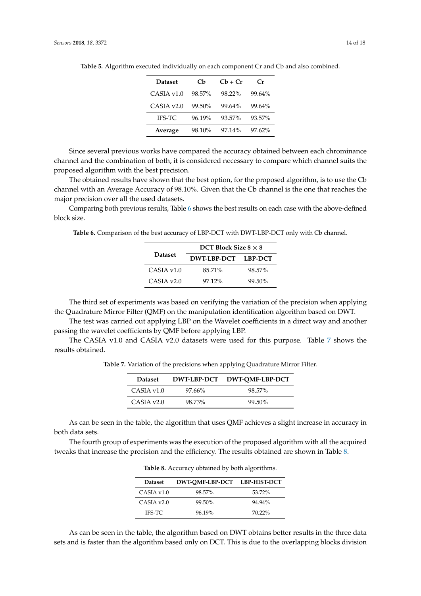| <b>Dataset</b> | Сh     | $Ch + Cr$ | Сr        |
|----------------|--------|-----------|-----------|
| $CASIA$ v1.0   | 98.57% | 98.22%    | 99.64%    |
| CASIAv2.0      | 99.50% | 99.64%    | 99.64%    |
| <b>IFS-TC</b>  | 96.19% | $93.57\%$ | $93.57\%$ |
| Average        | 98.10% | 97.14%    | 97.62%    |

**Table 5.** Algorithm executed individually on each component Cr and Cb and also combined.

Since several previous works have compared the accuracy obtained between each chrominance channel and the combination of both, it is considered necessary to compare which channel suits the proposed algorithm with the best precision.

<span id="page-14-1"></span>The obtained results have shown that the best option, for the proposed algorithm, is to use the Cb channel with an Average Accuracy of 98.10%. Given that the Cb channel is the one that reaches the major precision over all the used datasets.

Comparing both previous results, Table [6](#page-13-1) shows the best results on each case with the above-defined block size.

**Table 6.** Comparison of the best accuracy of LBP-DCT with DWT-LBP-DCT only with Cb channel.

|                        | DCT Block Size $8 \times 8$ |         |  |  |
|------------------------|-----------------------------|---------|--|--|
| <b>Dataset</b>         | DWT-LBP-DCT                 | LBP-DCT |  |  |
| CASIA v <sub>1.0</sub> | 85.71%                      | 98.57%  |  |  |
| CASIAv2.0              | $97.12\%$                   | 99.50%  |  |  |

The third set of experiments was based on verifying the variation of the precision when applying the Quadrature Mirror Filter (QMF) on the manipulation identification algorithm based on DWT.

<span id="page-14-2"></span>The test was carried out applying LBP on the Wavelet coefficients in a direct way and another passing the wavelet coefficients by QMF before applying LBP.

The CASIA v1.0 and CASIA v2.0 datasets were used for this purpose. Table [7](#page-13-2) shows the results obtained.

**Table 7.** Variation of the precisions when applying Quadrature Mirror Filter.

| <b>Dataset</b>         |        | DWT-LBP-DCT DWT-OMF-LBP-DCT |
|------------------------|--------|-----------------------------|
| CASIA v <sub>1.0</sub> | 97.66% | 98.57%                      |
| CASIAv2.0              | 98.73% | 99.50%                      |

As can be seen in the table, the algorithm that uses QMF achieves a slight increase in accuracy in both data sets.

<span id="page-14-0"></span>The fourth group of experiments was the execution of the proposed algorithm with all the acquired tweaks that increase the precision and the efficiency. The results obtained are shown in Table [8.](#page-13-3)

| <b>Dataset</b> | DWT-OMF-LBP-DCT LBP-HIST-DCT |           |
|----------------|------------------------------|-----------|
| CASIAv1.0      | 98.57%                       | 53.72%    |
| CASIAv2.0      | 99.50%                       | 94.94%    |
| <b>IFS-TC</b>  | 96.19%                       | $70.22\%$ |

**Table 8.** Accuracy obtained by both algorithms.

As can be seen in the table, the algorithm based on DWT obtains better results in the three data sets and is faster than the algorithm based only on DCT. This is due to the overlapping blocks division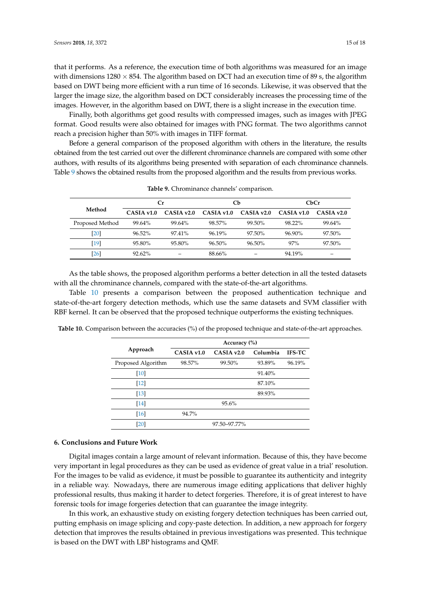that it performs. As a reference, the execution time of both algorithms was measured for an image with dimensions  $1280 \times 854$ . The algorithm based on DCT had an execution time of 89 s, the algorithm based on DWT being more efficient with a run time of 16 seconds. Likewise, it was observed that the larger the image size, the algorithm based on DCT considerably increases the processing time of the images. However, in the algorithm based on DWT, there is a slight increase in the execution time.

Finally, both algorithms get good results with compressed images, such as images with JPEG format. Good results were also obtained for images with PNG format. The two algorithms cannot reach a precision higher than 50% with images in TIFF format.

Before a general comparison of the proposed algorithm with others in the literature, the results obtained from the test carried out over the different chrominance channels are compared with some other authors, with results of its algorithms being presented with separation of each chrominance channels. Table [9](#page-14-1) shows the obtained results from the proposed algorithm and the results from previous works.

|                 |              | Сr        |                       | Сb        |           | <b>CbCr</b> |
|-----------------|--------------|-----------|-----------------------|-----------|-----------|-------------|
| Method          | $CASIA$ v1.0 | CASIAv2.0 | CASIA <sub>V1.0</sub> | CASIAv2.0 | CASIAv1.0 | CASIAv2.0   |
| Proposed Method | 99.64%       | 99.64%    | 98.57%                | 99.50%    | $98.22\%$ | 99.64%      |
| [20]            | $96.52\%$    | 97.41%    | 96.19%                | 97.50%    | 96.90%    | 97.50%      |
| [19]            | $95.80\%$    | 95.80%    | $96.50\%$             | $96.50\%$ | 97%       | 97.50%      |
| [26]            | $92.62\%$    |           | 88.66%                |           | 94.19%    |             |

**Table 9.** Chrominance channels' comparison.

As the table shows, the proposed algorithm performs a better detection in all the tested datasets with all the chrominance channels, compared with the state-of-the-art algorithms.

Table [10](#page-14-2) presents a comparison between the proposed authentication technique and state-of-the-art forgery detection methods, which use the same datasets and SVM classifier with RBF kernel. It can be observed that the proposed technique outperforms the existing techniques.

|                    | Accuracy $(\% )$ |              |          |               |
|--------------------|------------------|--------------|----------|---------------|
| Approach           | CASIAv1.0        | CASIAv2.0    | Columbia | <b>IFS-TC</b> |
| Proposed Algorithm | 98.57%           | 99.50%       | 93.89%   | 96.19%        |
| [10]               |                  |              | 91.40%   |               |
| $[12]$             |                  |              | 87.10%   |               |
| $[13]$             |                  |              | 89.93%   |               |
| $\lceil 14 \rceil$ |                  | 95.6%        |          |               |
| [16]               | 94.7%            |              |          |               |
| [20]               |                  | 97.50-97.77% |          |               |

**Table 10.** Comparison between the accuracies (%) of the proposed technique and state-of-the-art approaches.

#### **6. Conclusions and Future Work**

Digital images contain a large amount of relevant information. Because of this, they have become very important in legal procedures as they can be used as evidence of great value in a trial' resolution. For the images to be valid as evidence, it must be possible to guarantee its authenticity and integrity in a reliable way. Nowadays, there are numerous image editing applications that deliver highly professional results, thus making it harder to detect forgeries. Therefore, it is of great interest to have forensic tools for image forgeries detection that can guarantee the image integrity.

<span id="page-15-1"></span><span id="page-15-0"></span>In this work, an exhaustive study on existing forgery detection techniques has been carried out, putting emphasis on image splicing and copy-paste detection. In addition, a new approach for forgery detection that improves the results obtained in previous investigations was presented. This technique is based on the DWT with LBP histograms and QMF.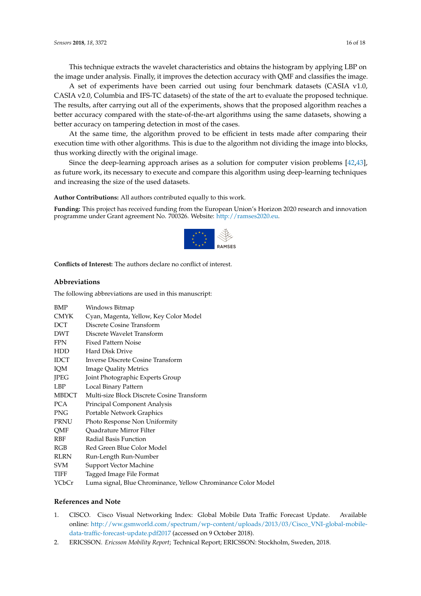<span id="page-16-0"></span>This technique extracts the wavelet characteristics and obtains the histogram by applying LBP on the image under analysis. Finally, it improves the detection accuracy with QMF and classifies the image.

<span id="page-16-2"></span><span id="page-16-1"></span>A set of experiments have been carried out using four benchmark datasets (CASIA v1.0, CASIA v2.0, Columbia and IFS-TC datasets) of the state of the art to evaluate the proposed technique. The results, after carrying out all of the experiments, shows that the proposed algorithm reaches a better accuracy compared with the state-of-the-art algorithms using the same datasets, showing a better accuracy on tampering detection in most of the cases.

<span id="page-16-4"></span><span id="page-16-3"></span>At the same time, the algorithm proved to be efficient in tests made after comparing their execution time with other algorithms. This is due to the algorithm not dividing the image into blocks, thus working directly with the original image.

<span id="page-16-5"></span>Since the deep-learning approach arises as a solution for computer vision problems [\[42,](#page-17-15)[43\]](#page-17-16), as future work, its necessary to execute and compare this algorithm using deep-learning techniques and increasing the size of the used datasets.

<span id="page-16-6"></span>**Author Contributions:** All authors contributed equally to this work.

<span id="page-16-8"></span><span id="page-16-7"></span>**Funding:** This project has received funding from the European Union's Horizon 2020 research and innovation programme under Grant agreement No. 700326. Website: [http://ramses2020.eu.](http://ramses2020.eu)



<span id="page-16-9"></span>**Conflicts of Interest:** The authors declare no conflict of interest.

#### <span id="page-16-10"></span>**Abbreviations**

The following abbreviations are used in this manuscript:

<span id="page-16-16"></span><span id="page-16-15"></span><span id="page-16-14"></span><span id="page-16-13"></span><span id="page-16-12"></span><span id="page-16-11"></span>

| BMP         | Windows Bitmap                                                |
|-------------|---------------------------------------------------------------|
| <b>CMYK</b> | Cyan, Magenta, Yellow, Key Color Model                        |
| DCT         | Discrete Cosine Transform                                     |
| <b>DWT</b>  | Discrete Wavelet Transform                                    |
| <b>FPN</b>  | <b>Fixed Pattern Noise</b>                                    |
| <b>HDD</b>  | <b>Hard Disk Drive</b>                                        |
| <b>IDCT</b> | Inverse Discrete Cosine Transform                             |
| IQM         | <b>Image Quality Metrics</b>                                  |
| <b>IPEG</b> | Joint Photographic Experts Group                              |
| LBP         | Local Binary Pattern                                          |
| MBDCT       | Multi-size Block Discrete Cosine Transform                    |
| <b>PCA</b>  | Principal Component Analysis                                  |
| <b>PNG</b>  | Portable Network Graphics                                     |
| <b>PRNU</b> | Photo Response Non Uniformity                                 |
| <b>OMF</b>  | <b>Ouadrature Mirror Filter</b>                               |
| <b>RBF</b>  | Radial Basis Function                                         |
| RGB         | Red Green Blue Color Model                                    |
| <b>RLRN</b> | Run-Length Run-Number                                         |
| <b>SVM</b>  | Support Vector Machine                                        |
| TIFF        | Tagged Image File Format                                      |
| YCbCr       | Luma signal, Blue Chrominance, Yellow Chrominance Color Model |

#### <span id="page-16-21"></span><span id="page-16-20"></span><span id="page-16-19"></span><span id="page-16-18"></span><span id="page-16-17"></span>**References and Note**

- <span id="page-16-22"></span>1. CISCO. Cisco Visual Networking Index: Global Mobile Data Traffic Forecast Update. Available online: [http://ww.gsmworld.com/spectrum/wp-content/uploads/2013/03/Cisco\\_VNI-global-mobile](http://ww.gsmworld.com/spectrum/wp-content/uploads/2013/03/Cisco_VNI-global-mobile-data-traffic-forecast-update.pdf 2017)[data-traffic-forecast-update.pdf2017](http://ww.gsmworld.com/spectrum/wp-content/uploads/2013/03/Cisco_VNI-global-mobile-data-traffic-forecast-update.pdf 2017) (accessed on 9 October 2018).
- 2. ERICSSON. *Ericsson Mobility Report*; Technical Report; ERICSSON: Stockholm, Sweden, 2018.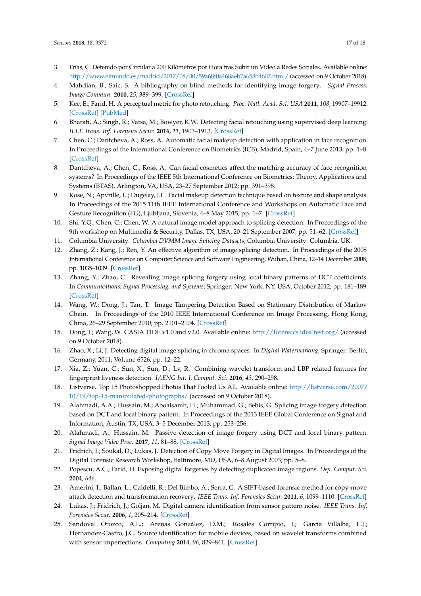- <span id="page-17-0"></span>3. Frías, C. Detenido por Circular a 200 Kilómetros por Hora tras Subir un Vídeo a Redes Sociales. Available online: <http://www.elmundo.es/madrid/2017/08/30/59a68f0a468aeb7a658b4607.html/> (accessed on 9 October 2018).
- 4. Mahdian, B.; Saic, S. A bibliography on blind methods for identifying image forgery. *Signal Process. Image Commun.* **2010**, *25*, 389–399. [\[CrossRef\]](http://dx.doi.org/10.1016/j.image.2010.05.003)
- <span id="page-17-1"></span>5. Kee, E.; Farid, H. A perceptual metric for photo retouching. *Proc. Natl. Acad. Sci. USA* **2011**, *108*, 19907–19912. [\[CrossRef\]](http://dx.doi.org/10.1073/pnas.1110747108) [\[PubMed\]](http://www.ncbi.nlm.nih.gov/pubmed/22123980)
- <span id="page-17-2"></span>6. Bharati, A.; Singh, R.; Vatsa, M.; Bowyer, K.W. Detecting facial retouching using supervised deep learning. *IEEE Trans. Inf. Forensics Secur.* **2016**, *11*, 1903–1913. [\[CrossRef\]](http://dx.doi.org/10.1109/TIFS.2016.2561898)
- <span id="page-17-3"></span>7. Chen, C.; Dantcheva, A.; Ross, A. Automatic facial makeup detection with application in face recognition. In Proceedings of the International Conference on Biometrics (ICB), Madrid, Spain, 4–7 June 2013; pp. 1–8. [\[CrossRef\]](http://dx.doi.org/10.1109/ICB.2013.6612994)
- <span id="page-17-4"></span>8. Dantcheva, A.; Chen, C.; Ross, A. Can facial cosmetics affect the matching accuracy of face recognition systems? In Proceedings of the IEEE 5th International Conference on Biometrics: Theory, Applications and Systems (BTAS), Arlington, VA, USA, 23–27 September 2012; pp. 391–398.
- <span id="page-17-5"></span>9. Kose, N.; Apvrille, L.; Dugelay, J.L. Facial makeup detection technique based on texture and shape analysis. In Proceedings of the 2015 11th IEEE International Conference and Workshops on Automatic Face and Gesture Recognition (FG), Ljubljana, Slovenia, 4–8 May 2015; pp. 1–7. [\[CrossRef\]](http://dx.doi.org/10.1109/FG.2015.7163104)
- <span id="page-17-7"></span><span id="page-17-6"></span>10. Shi, Y.Q.; Chen, C.; Chen, W. A natural image model approach to splicing detection. In Proceedings of the 9th workshop on Multimedia & Security, Dallas, TX, USA, 20–21 September 2007; pp. 51–62. [\[CrossRef\]](http://dx.doi.org/10.1145/1288869.1288878)
- <span id="page-17-8"></span>11. Columbia University. *Columbia DVMM Image Splicing Datasets*; Columbia University: Columbia, UK.
- <span id="page-17-9"></span>12. Zhang, Z.; Kang, J.; Ren, Y. An effective algorithm of image splicing detection. In Proceedings of the 2008 International Conference on Computer Science and Software Engineering, Wuhan, China, 12–14 December 2008; pp. 1035–1039. [\[CrossRef\]](http://dx.doi.org/10.1109/CSSE.2008.1621)
- <span id="page-17-10"></span>13. Zhang, Y.; Zhao, C. Revealing image splicing forgery using local binary patterns of DCT coefficients. In *Communications, Signal Processing, and Systems*; Springer: New York, NY, USA, October 2012; pp. 181–189. [\[CrossRef\]](http://dx.doi.org/10.1007/978--1--4614--5803--6_19)
- <span id="page-17-11"></span>14. Wang, W.; Dong, J.; Tan, T. Image Tampering Detection Based on Stationary Distribution of Markov Chain. In Proceedings of the 2010 IEEE International Conference on Image Processing, Hong Kong, China, 26–29 September 2010; pp. 2101–2104. [\[CrossRef\]](http://dx.doi.org/10.1109/ICIP.2010.5652660)
- <span id="page-17-12"></span>15. Dong, J.; Wang, W. CASIA TIDE v1.0 and v2.0. Available online: <http://forensics.idealtest.org/> (accessed on 9 October 2018).
- <span id="page-17-13"></span>16. Zhao, X.; Li, J. Detecting digital image splicing in chroma spaces. In *Digital Watermarking*; Springer: Berlin, Germany, 2011; Volume 6526, pp. 12–22.
- <span id="page-17-14"></span>17. Xia, Z.; Yuan, C.; Sun, X.; Sun, D.; Lv, R. Combining wavelet transform and LBP related features for fingerprint liveness detection. *IAENG Int. J. Comput. Sci.* **2016**, *43*, 290–298.
- <span id="page-17-15"></span>18. Listverse. Top 15 Photoshopped Photos That Fooled Us All. Available online: [http://listverse.com/2007/](http://listverse.com/2007/10/19/top-15-manipulated-photographs/) [10/19/top-15-manipulated-photographs/](http://listverse.com/2007/10/19/top-15-manipulated-photographs/) (accessed on 9 October 2018).
- 19. Alahmadi, A.A.; Hussain, M.; Aboalsamh, H.; Muhammad, G.; Bebis, G. Splicing image forgery detection based on DCT and local binary pattern. In Proceedings of the 2013 IEEE Global Conference on Signal and Information, Austin, TX, USA, 3–5 December 2013; pp. 253–256.
- <span id="page-17-16"></span>20. Alahmadi, A.; Hussain, M. Passive detection of image forgery using DCT and local binary pattern. *Signal Image Video Proc.* **2017**, *11*, 81–88. [\[CrossRef\]](http://dx.doi.org/10.1007/s11760-016-0899-0)
- 21. Fridrich, J.; Soukal, D.; Lukas, J. Detection of Copy Move Forgery in Digital Images. In Proceedings of the Digital Forensic Research Workshop, Baltimore, MD, USA, 6–8 August 2003; pp. 5–8.
- 22. Popescu, A.C.; Farid, H. Exposing digital forgeries by detecting duplicated image regions. *Dep. Comput. Sci.* **2004**, *646*.
- 23. Amerini, I.; Ballan, L.; Caldelli, R.; Del Bimbo, A.; Serra, G. A SIFT-based forensic method for copy-move attack detection and transformation recovery. *IEEE Trans. Inf. Forensics Secur.* **2011**, *6*, 1099–1110. [\[CrossRef\]](http://dx.doi.org/10.1109/TIFS.2011.2129512)
- 24. Lukas, J.; Fridrich, J.; Goljan, M. Digital camera identification from sensor pattern noise. *IEEE Trans. Inf. Forensics Secur.* **2006**, *1*, 205–214. [\[CrossRef\]](http://dx.doi.org/10.1109/TIFS.2006.873602)
- 25. Sandoval Orozco, A.L.; Arenas González, D.M.; Rosales Corripio, J.; García Villalba, L.J.; Hernandez-Castro, J.C. Source identification for mobile devices, based on wavelet transforms combined with sensor imperfections. *Computing* **2014**, *96*, 829–841. [\[CrossRef\]](http://dx.doi.org/10.1007/s00607-013-0313-5)